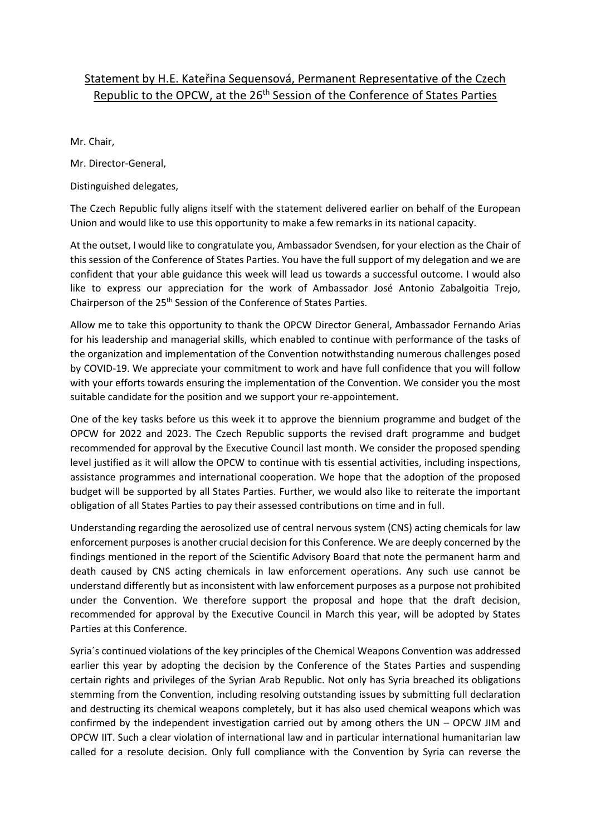## Statement by H.E. Kateřina Sequensová, Permanent Representative of the Czech Republic to the OPCW, at the 26<sup>th</sup> Session of the Conference of States Parties

Mr. Chair,

Mr. Director-General,

Distinguished delegates,

The Czech Republic fully aligns itself with the statement delivered earlier on behalf of the European Union and would like to use this opportunity to make a few remarks in its national capacity.

At the outset, I would like to congratulate you, Ambassador Svendsen, for your election as the Chair of this session of the Conference of States Parties. You have the full support of my delegation and we are confident that your able guidance this week will lead us towards a successful outcome. I would also like to express our appreciation for the work of Ambassador José Antonio Zabalgoitia Trejo, Chairperson of the 25th Session of the Conference of States Parties.

Allow me to take this opportunity to thank the OPCW Director General, Ambassador Fernando Arias for his leadership and managerial skills, which enabled to continue with performance of the tasks of the organization and implementation of the Convention notwithstanding numerous challenges posed by COVID-19. We appreciate your commitment to work and have full confidence that you will follow with your efforts towards ensuring the implementation of the Convention. We consider you the most suitable candidate for the position and we support your re-appointement.

One of the key tasks before us this week it to approve the biennium programme and budget of the OPCW for 2022 and 2023. The Czech Republic supports the revised draft programme and budget recommended for approval by the Executive Council last month. We consider the proposed spending level justified as it will allow the OPCW to continue with tis essential activities, including inspections, assistance programmes and international cooperation. We hope that the adoption of the proposed budget will be supported by all States Parties. Further, we would also like to reiterate the important obligation of all States Parties to pay their assessed contributions on time and in full.

Understanding regarding the aerosolized use of central nervous system (CNS) acting chemicals for law enforcement purposes is another crucial decision for this Conference. We are deeply concerned by the findings mentioned in the report of the Scientific Advisory Board that note the permanent harm and death caused by CNS acting chemicals in law enforcement operations. Any such use cannot be understand differently but as inconsistent with law enforcement purposes as a purpose not prohibited under the Convention. We therefore support the proposal and hope that the draft decision, recommended for approval by the Executive Council in March this year, will be adopted by States Parties at this Conference.

Syria´s continued violations of the key principles of the Chemical Weapons Convention was addressed earlier this year by adopting the decision by the Conference of the States Parties and suspending certain rights and privileges of the Syrian Arab Republic. Not only has Syria breached its obligations stemming from the Convention, including resolving outstanding issues by submitting full declaration and destructing its chemical weapons completely, but it has also used chemical weapons which was confirmed by the independent investigation carried out by among others the UN – OPCW JIM and OPCW IIT. Such a clear violation of international law and in particular international humanitarian law called for a resolute decision. Only full compliance with the Convention by Syria can reverse the